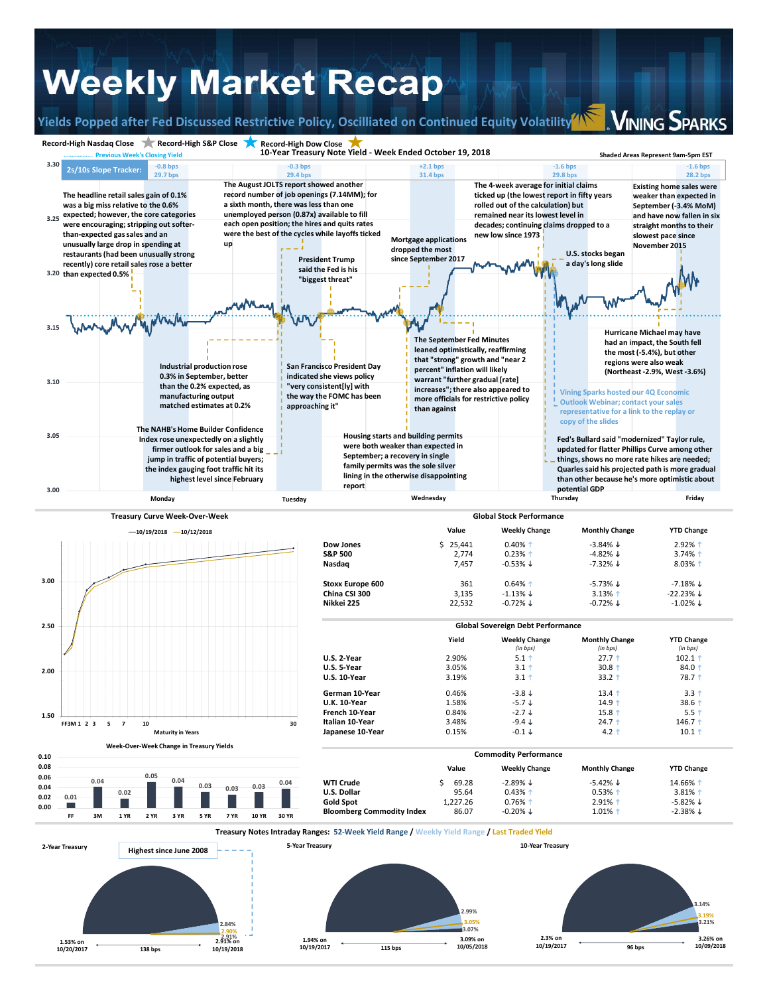## **Weekly Market Recap**

**Yields Popped after Fed Discussed Restrictive Policy, Oscilliated on Continued Equity Volatility**

**VINING SPARKS**